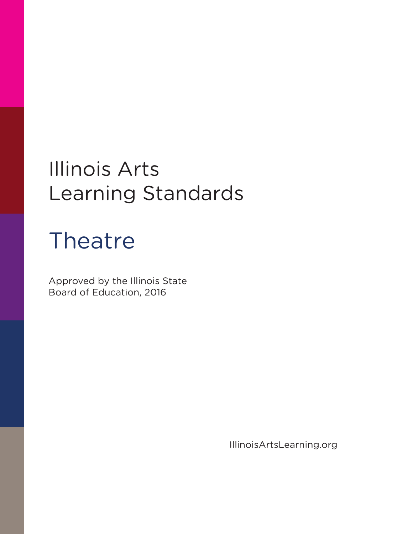### Illinois Arts Learning Standards

# Theatre

Approved by the Illinois State Board of Education, 2016

IllinoisArtsLearning.org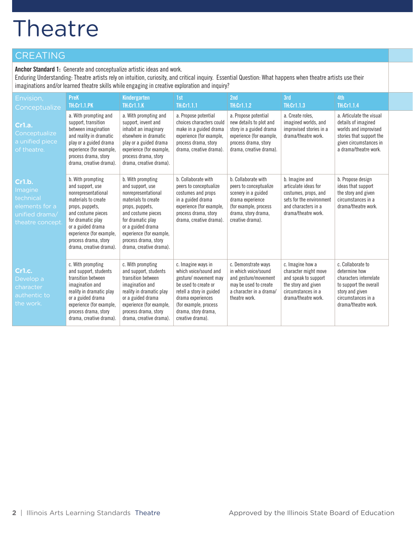#### CREATING

**Anchor Standard 1:** Generate and conceptualize artistic ideas and work.

Enduring Understanding: Theatre artists rely on intuition, curiosity, and critical inquiry. Essential Question: What happens when theatre artists use their imaginations and/or learned theatre skills while engaging in creative exploration and inquiry?

| Envision,<br>Conceptualize                                                                    | <b>PreK</b><br><b>TH:Cr1.1.PK</b>                                                                                                                                                                                                                     | Kindergarten<br><b>TH:Cr1.1.K</b>                                                                                                                                                                                                                     | 1st<br>TH:Cr1.1.1                                                                                                                                                                                                 | 2nd<br><b>TH:Cr1.1.2</b>                                                                                                                                     | 3rd<br><b>TH:Cr1.1.3</b>                                                                                                                 | 4th<br>TH:Cr1.1.4                                                                                                                                       |
|-----------------------------------------------------------------------------------------------|-------------------------------------------------------------------------------------------------------------------------------------------------------------------------------------------------------------------------------------------------------|-------------------------------------------------------------------------------------------------------------------------------------------------------------------------------------------------------------------------------------------------------|-------------------------------------------------------------------------------------------------------------------------------------------------------------------------------------------------------------------|--------------------------------------------------------------------------------------------------------------------------------------------------------------|------------------------------------------------------------------------------------------------------------------------------------------|---------------------------------------------------------------------------------------------------------------------------------------------------------|
| Cr1.a.<br>Conceptualize<br>a unified piece<br>of theatre.                                     | a. With prompting and<br>support, transition<br>between imagination<br>and reality in dramatic<br>play or a guided drama<br>experience (for example,<br>process drama, story<br>drama, creative drama).                                               | a. With prompting and<br>support, invent and<br>inhabit an imaginary<br>elsewhere in dramatic<br>play or a guided drama<br>experience (for example,<br>process drama, story<br>drama, creative drama).                                                | a. Propose potential<br>choices characters could<br>make in a guided drama<br>experience (for example,<br>process drama, story<br>drama, creative drama).                                                         | a. Propose potential<br>new details to plot and<br>story in a guided drama<br>experience (for example,<br>process drama, story<br>drama, creative drama).    | a. Create roles.<br>imagined worlds, and<br>improvised stories in a<br>drama/theatre work.                                               | a. Articulate the visual<br>details of imagined<br>worlds and improvised<br>stories that support the<br>given circumstances in<br>a drama/theatre work. |
| <b>Cr1.b.</b><br>Imagine<br>technical<br>elements for a<br>unified drama/<br>theatre concept. | b. With prompting<br>and support, use<br>nonrepresentational<br>materials to create<br>props, puppets,<br>and costume pieces<br>for dramatic play<br>or a guided drama<br>experience (for example,<br>process drama, story<br>drama, creative drama). | b. With prompting<br>and support, use<br>nonrepresentational<br>materials to create<br>props, puppets,<br>and costume pieces<br>for dramatic play<br>or a guided drama<br>experience (for example,<br>process drama, story<br>drama, creative drama). | b. Collaborate with<br>peers to conceptualize<br>costumes and props<br>in a guided drama<br>experience (for example,<br>process drama, story<br>drama, creative drama).                                           | b. Collaborate with<br>peers to conceptualize<br>scenery in a guided<br>drama experience<br>(for example, process<br>drama, story drama,<br>creative drama). | b. Imagine and<br>articulate ideas for<br>costumes, props, and<br>sets for the environment<br>and characters in a<br>drama/theatre work. | b. Propose design<br>ideas that support<br>the story and given<br>circumstances in a<br>drama/theatre work.                                             |
| Cr1.c.<br>Develop a<br>character<br>authentic to<br>the work.                                 | c. With prompting<br>and support, students<br>transition between<br>imagination and<br>reality in dramatic play<br>or a guided drama<br>experience (for example,<br>process drama, story<br>drama, creative drama).                                   | c. With prompting<br>and support, students<br>transition between<br>imagination and<br>reality in dramatic play<br>or a guided drama<br>experience (for example,<br>process drama, story<br>drama, creative drama).                                   | c. Imagine ways in<br>which voice/sound and<br>gesture/ movement may<br>be used to create or<br>retell a story in guided<br>drama experiences<br>(for example, process<br>drama, story drama,<br>creative drama). | c. Demonstrate ways<br>in which voice/sound<br>and gesture/movement<br>may be used to create<br>a character in a drama/<br>theatre work.                     | c. Imagine how a<br>character might move<br>and speak to support<br>the story and given<br>circumstances in a<br>drama/theatre work.     | c. Collaborate to<br>determine how<br>characters interrelate<br>to support the overall<br>story and given<br>circumstances in a<br>drama/theatre work.  |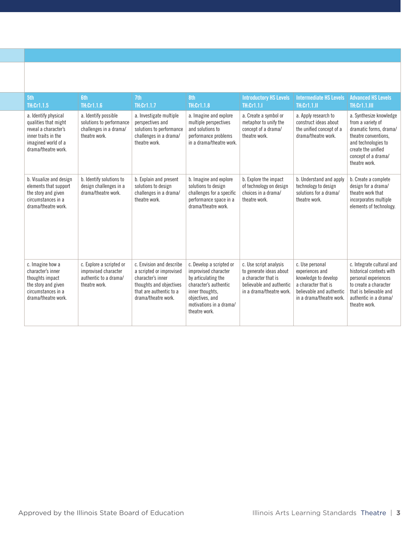| 5th<br>TH:Cr1.1.5                                                                                                                         | <b>6th</b><br>TH:Cr1.1.6                                                                    | 7th<br>TH:Cr1.1.7                                                                                                                                      | 8th<br>TH:Cr1.1.8                                                                                                                                                                  | <b>Introductory HS Levels</b><br><b>TH:Cr1.1.1</b>                                                                               | <b>Intermediate HS Levels</b><br><b>TH:Cr1.1.II</b>                                                                                       | <b>Advanced HS Levels</b><br><b>TH:Cr1.1.III</b>                                                                                                                                    |
|-------------------------------------------------------------------------------------------------------------------------------------------|---------------------------------------------------------------------------------------------|--------------------------------------------------------------------------------------------------------------------------------------------------------|------------------------------------------------------------------------------------------------------------------------------------------------------------------------------------|----------------------------------------------------------------------------------------------------------------------------------|-------------------------------------------------------------------------------------------------------------------------------------------|-------------------------------------------------------------------------------------------------------------------------------------------------------------------------------------|
| a. Identify physical<br>qualities that might<br>reveal a character's<br>inner traits in the<br>imagined world of a<br>drama/theatre work. | a. Identify possible<br>solutions to performance<br>challenges in a drama/<br>theatre work. | a. Investigate multiple<br>perspectives and<br>solutions to performance<br>challenges in a drama/<br>theatre work.                                     | a. Imagine and explore<br>multiple perspectives<br>and solutions to<br>performance problems<br>in a drama/theatre work.                                                            | a. Create a symbol or<br>metaphor to unify the<br>concept of a drama/<br>theatre work.                                           | a. Apply research to<br>construct ideas about<br>the unified concept of a<br>drama/theatre work.                                          | a. Synthesize knowledge<br>from a variety of<br>dramatic forms, drama/<br>theatre conventions.<br>and technologies to<br>create the unified<br>concept of a drama/<br>theatre work. |
| b. Visualize and design<br>elements that support<br>the story and given<br>circumstances in a<br>drama/theatre work.                      | b. Identify solutions to<br>design challenges in a<br>drama/theatre work.                   | b. Explain and present<br>solutions to design<br>challenges in a drama/<br>theatre work.                                                               | b. Imagine and explore<br>solutions to design<br>challenges for a specific<br>performance space in a<br>drama/theatre work.                                                        | b. Explore the impact<br>of technology on design<br>choices in a drama/<br>theatre work.                                         | b. Understand and apply<br>technology to design<br>solutions for a drama/<br>theatre work.                                                | b. Create a complete<br>design for a drama/<br>theatre work that<br>incorporates multiple<br>elements of technology.                                                                |
| c. Imagine how a<br>character's inner<br>thoughts impact<br>the story and given<br>circumstances in a<br>drama/theatre work.              | c. Explore a scripted or<br>improvised character<br>authentic to a drama/<br>theatre work.  | c. Envision and describe<br>a scripted or improvised<br>character's inner<br>thoughts and objectives<br>that are authentic to a<br>drama/theatre work. | c. Develop a scripted or<br>improvised character<br>by articulating the<br>character's authentic<br>inner thoughts.<br>objectives, and<br>motivations in a drama/<br>theatre work. | c. Use script analysis<br>to generate ideas about<br>a character that is<br>believable and authentic<br>in a drama/theatre work. | c. Use personal<br>experiences and<br>knowledge to develop<br>a character that is<br>believable and authentic<br>in a drama/theatre work. | c. Integrate cultural and<br>historical contexts with<br>personal experiences<br>to create a character<br>that is believable and<br>authentic in a drama/<br>theatre work.          |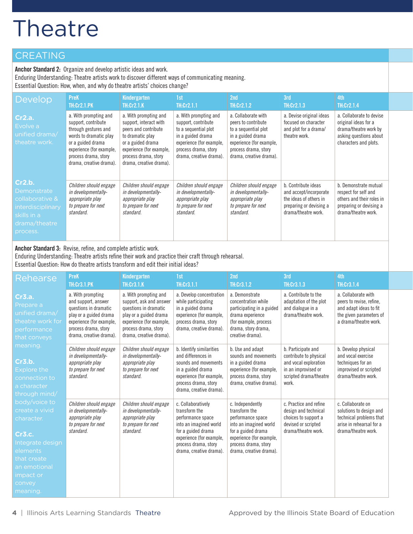### CREATING

**Anchor Standard 2:** Organize and develop artistic ideas and work. Enduring Understanding: Theatre artists work to discover different ways of communicating meaning. Essential Question: How, when, and why do theatre artists' choices change?

| <b>Develop</b>                                                                                            | <b>PreK</b><br><b>TH:Cr2.1.PK</b>                                                                                                                                                                  | Kindergarten<br><b>TH:Cr2.1.K</b>                                                                                                                                                               | 1st<br><b>TH:Cr2.1.1</b>                                                                                                                                                 | 2nd<br><b>TH:Cr2.1.2</b>                                                                                                                                               | 3rd<br><b>TH:Cr2.1.3</b>                                                                                                  | 4th<br><b>TH:Cr2.1.4</b>                                                                                                     |
|-----------------------------------------------------------------------------------------------------------|----------------------------------------------------------------------------------------------------------------------------------------------------------------------------------------------------|-------------------------------------------------------------------------------------------------------------------------------------------------------------------------------------------------|--------------------------------------------------------------------------------------------------------------------------------------------------------------------------|------------------------------------------------------------------------------------------------------------------------------------------------------------------------|---------------------------------------------------------------------------------------------------------------------------|------------------------------------------------------------------------------------------------------------------------------|
| Cr2.a.<br>Evolve a<br>unified drama/<br>theatre work.                                                     | a. With prompting and<br>support, contribute<br>through gestures and<br>words to dramatic play<br>or a guided drama<br>experience (for example,<br>process drama, story<br>drama, creative drama). | a. With prompting and<br>support, interact with<br>peers and contribute<br>to dramatic play<br>or a guided drama<br>experience (for example,<br>process drama, story<br>drama, creative drama). | a. With prompting and<br>support, contribute<br>to a sequential plot<br>in a guided drama<br>experience (for example,<br>process drama, story<br>drama, creative drama). | a. Collaborate with<br>peers to contribute<br>to a sequential plot<br>in a guided drama<br>experience (for example,<br>process drama, story<br>drama, creative drama). | a. Devise original ideas<br>focused on character<br>and plot for a drama/<br>theatre work.                                | a. Collaborate to devise<br>original ideas for a<br>drama/theatre work by<br>asking questions about<br>characters and plots. |
| Cr2.b.<br>Demonstrate<br>collaborative &<br>interdisciplinary<br>skills in a<br>drama/theatre<br>process. | Children should engage<br>in developmentally-<br>appropriate play<br>to prepare for next<br>standard.                                                                                              | Children should engage<br>in developmentally-<br>appropriate play<br>to prepare for next<br>standard.                                                                                           | Children should engage<br>in developmentally-<br>appropriate play<br>to prepare for next<br>standard.                                                                    | Children should engage<br>in developmentally-<br>appropriate play<br>to prepare for next<br>standard.                                                                  | b. Contribute ideas<br>and accept/incorporate<br>the ideas of others in<br>preparing or devising a<br>drama/theatre work. | b. Demonstrate mutual<br>respect for self and<br>others and their roles in<br>preparing or devising a<br>drama/theatre work. |

**Anchor Standard 3:** Revise, refine, and complete artistic work. Enduring Understanding: Theatre artists refine their work and practice their craft through rehearsal. Essential Question: How do theatre artists transform and edit their initial ideas?

| Rehearse                                                                                                                                                  | <b>PreK</b><br><b>TH:Cr3.1.PK</b>                                                                                                                                          | Kindergarten<br><b>TH:Cr3.1.K</b>                                                                                                                                                  | 1st<br>TH:Cr3.1.1                                                                                                                                                                       | 2nd<br>TH:Cr3.1.2                                                                                                                                                                     | 3rd<br><b>TH:Cr3.1.3</b>                                                                                                        | 4th<br><b>TH:Cr3.1.4</b>                                                                                                      |
|-----------------------------------------------------------------------------------------------------------------------------------------------------------|----------------------------------------------------------------------------------------------------------------------------------------------------------------------------|------------------------------------------------------------------------------------------------------------------------------------------------------------------------------------|-----------------------------------------------------------------------------------------------------------------------------------------------------------------------------------------|---------------------------------------------------------------------------------------------------------------------------------------------------------------------------------------|---------------------------------------------------------------------------------------------------------------------------------|-------------------------------------------------------------------------------------------------------------------------------|
| Cr3.a.<br>Prepare a<br>unified drama/<br>theatre work for<br>performance<br>that conveys                                                                  | a. With prompting<br>and support, answer<br>questions in dramatic<br>play or a guided drama<br>experience (for example,<br>process drama, story<br>drama, creative drama). | a. With prompting and<br>support, ask and answer<br>questions in dramatic<br>play or a guided drama<br>experience (for example,<br>process drama, story<br>drama, creative drama). | a. Develop concentration<br>while participating<br>in a guided drama<br>experience (for example,<br>process drama, story<br>drama, creative drama).                                     | a. Demonstrate<br>concentration while<br>participating in a guided<br>drama experience<br>(for example, process<br>drama, story drama,<br>creative drama).                            | a. Contribute to the<br>adaptation of the plot<br>and dialogue in a<br>drama/theatre work.                                      | a. Collaborate with<br>peers to revise, refine,<br>and adapt ideas to fit<br>the given parameters of<br>a drama/theatre work. |
| meaning.<br>Cr3.b.<br><b>Explore the</b><br>connection to<br>a character<br>through mind/                                                                 | Children should engage<br>in developmentally-<br>appropriate play<br>to prepare for next<br>standard.                                                                      | Children should engage<br>in developmentally-<br>appropriate play<br>to prepare for next<br>standard.                                                                              | b. Identify similarities<br>and differences in<br>sounds and movements<br>in a guided drama<br>experience (for example,<br>process drama, story<br>drama, creative drama).              | b. Use and adapt<br>sounds and movements<br>in a guided drama<br>experience (for example,<br>process drama, story<br>drama, creative drama).                                          | b. Participate and<br>contribute to physical<br>and vocal exploration<br>in an improvised or<br>scripted drama/theatre<br>work. | b. Develop physical<br>and vocal exercise<br>techniques for an<br>improvised or scripted<br>drama/theatre work.               |
| body/voice to<br>create a vivid<br>character.<br>Cr3.c.<br>Integrate design<br>elements<br>that create<br>an emotional<br>impact or<br>convey<br>meaning. | Children should engage<br>in developmentally-<br>appropriate play<br>to prepare for next<br>standard.                                                                      | Children should engage<br>in developmentally-<br>appropriate play<br>to prepare for next<br>standard.                                                                              | c. Collaboratively<br>transform the<br>performance space<br>into an imagined world<br>for a guided drama<br>experience (for example,<br>process drama, story<br>drama, creative drama). | c. Independently<br>transform the<br>performance space<br>into an imagined world<br>for a guided drama<br>experience (for example,<br>process drama, story<br>drama, creative drama). | c. Practice and refine<br>design and technical<br>choices to support a<br>devised or scripted<br>drama/theatre work.            | c. Collaborate on<br>solutions to design and<br>technical problems that<br>arise in rehearsal for a<br>drama/theatre work.    |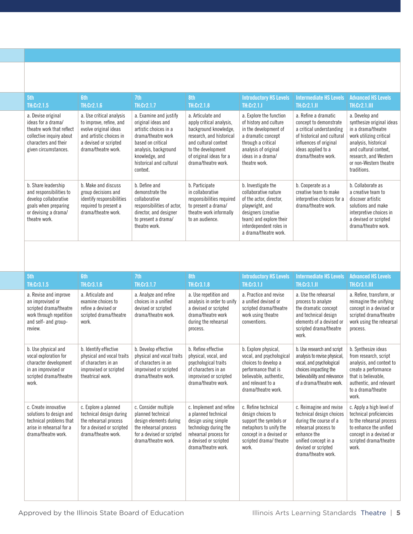| 5th<br>TH:Cr2.1.5                                                                                                                                 | <b>Gth</b><br>TH:Cr2.1.6                                                                                                                                | 7th<br>TH:Cr2.1.7                                                                                                                                                                                 | 8th<br><b>TH:Cr2.1.8</b>                                                                                                                                                                           | <b>Introductory HS Levels</b><br>TH:Cr2.1.I                                                                                                                                                    | <b>Intermediate HS Levels</b><br><b>TH:Cr2.1.II</b>                                                                                                                             | <b>Advanced HS Levels</b><br><b>TH:Cr2.1.III</b>                                                                                                                                                                |
|---------------------------------------------------------------------------------------------------------------------------------------------------|---------------------------------------------------------------------------------------------------------------------------------------------------------|---------------------------------------------------------------------------------------------------------------------------------------------------------------------------------------------------|----------------------------------------------------------------------------------------------------------------------------------------------------------------------------------------------------|------------------------------------------------------------------------------------------------------------------------------------------------------------------------------------------------|---------------------------------------------------------------------------------------------------------------------------------------------------------------------------------|-----------------------------------------------------------------------------------------------------------------------------------------------------------------------------------------------------------------|
| a. Devise original<br>ideas for a drama/<br>theatre work that reflect<br>collective inquiry about<br>characters and their<br>given circumstances. | a. Use critical analysis<br>to improve, refine, and<br>evolve original ideas<br>and artistic choices in<br>a devised or scripted<br>drama/theatre work. | a. Examine and justify<br>original ideas and<br>artistic choices in a<br>drama/theatre work<br>based on critical<br>analysis, background<br>knowledge, and<br>historical and cultural<br>context. | a. Articulate and<br>apply critical analysis,<br>background knowledge,<br>research, and historical<br>and cultural context<br>to the development<br>of original ideas for a<br>drama/theatre work. | a. Explore the function<br>of history and culture<br>in the development of<br>a dramatic concept<br>through a critical<br>analysis of original<br>ideas in a drama/<br>theatre work.           | a. Refine a dramatic<br>concept to demonstrate<br>a critical understanding<br>of historical and cultural<br>influences of original<br>ideas applied to a<br>drama/theatre work. | a. Develop and<br>synthesize original ideas<br>in a drama/theatre<br>work utilizing critical<br>analysis, historical<br>and cultural context,<br>research, and Western<br>or non-Western theatre<br>traditions. |
| b. Share leadership<br>and responsibilities to<br>develop collaborative<br>goals when preparing<br>or devising a drama/<br>theatre work.          | b. Make and discuss<br>group decisions and<br>identify responsibilities<br>required to present a<br>drama/theatre work.                                 | b. Define and<br>demonstrate the<br>collaborative<br>responsibilities of actor,<br>director, and designer<br>to present a drama/<br>theatre work.                                                 | b. Participate<br>in collaborative<br>responsibilities required<br>to present a drama/<br>theatre work informally<br>to an audience.                                                               | b. Investigate the<br>collaborative nature<br>of the actor, director,<br>playwright, and<br>designers (creative<br>team) and explore their<br>interdependent roles in<br>a drama/theatre work. | b. Cooperate as a<br>creative team to make<br>interpretive choices for a<br>drama/theatre work.                                                                                 | b. Collaborate as<br>a creative team to<br>discover artistic<br>solutions and make<br>interpretive choices in<br>a devised or scripted<br>drama/theatre work.                                                   |

| 5th<br>TH:Cr3.1.5                                                                                                                 | <b>6th</b><br>TH:Cr3.1.6                                                                                                     | 7th<br>TH:Cr3.1.7                                                                                                                                | 8th<br>TH:Cr3.1.8                                                                                                                                                       | <b>Introductory HS Levels</b><br><b>TH:Cr3.1.1</b>                                                                                                                    | <b>Intermediate HS Levels</b><br><b>TH:Cr3.1.II</b>                                                                                                                                        | <b>Advanced HS Levels</b><br>TH:Cr3.1.III                                                                                                                                         |
|-----------------------------------------------------------------------------------------------------------------------------------|------------------------------------------------------------------------------------------------------------------------------|--------------------------------------------------------------------------------------------------------------------------------------------------|-------------------------------------------------------------------------------------------------------------------------------------------------------------------------|-----------------------------------------------------------------------------------------------------------------------------------------------------------------------|--------------------------------------------------------------------------------------------------------------------------------------------------------------------------------------------|-----------------------------------------------------------------------------------------------------------------------------------------------------------------------------------|
| a. Revise and improve<br>an improvised or<br>scripted drama/theatre<br>work through repetition<br>and self- and group-<br>review. | a. Articulate and<br>examine choices to<br>refine a devised or<br>scripted drama/theatre<br>work.                            | a. Analyze and refine<br>choices in a unified<br>devised or scripted<br>drama/theatre work.                                                      | a. Use repetition and<br>analysis in order to unify<br>a devised or scripted<br>drama/theatre work<br>during the rehearsal<br>process.                                  | a. Practice and revise<br>a unified devised or<br>scripted drama/theatre<br>work using theatre<br>conventions.                                                        | a. Use the rehearsal<br>process to analyze<br>the dramatic concept<br>and technical design<br>elements of a devised or<br>scripted drama/theatre<br>work.                                  | a. Refine, transform, or<br>reimagine the unifying<br>concept in a devised or<br>scripted drama/theatre<br>work using the rehearsal<br>process.                                   |
| b. Use physical and<br>vocal exploration for<br>character development<br>in an improvised or<br>scripted drama/theatre<br>work.   | b. Identify effective<br>physical and vocal traits<br>of characters in an<br>improvised or scripted<br>theatrical work.      | b. Develop effective<br>physical and vocal traits<br>of characters in an<br>improvised or scripted<br>drama/theatre work.                        | b. Refine effective<br>physical, vocal, and<br>psychological traits<br>of characters in an<br>improvised or scripted<br>drama/theatre work.                             | b. Explore physical,<br>vocal, and psychological<br>choices to develop a<br>performance that is<br>believable, authentic,<br>and relevant to a<br>drama/theatre work. | b. Use research and script<br>analysis to revise physical,<br>vocal, and psychological<br>choices impacting the<br>believability and relevance<br>of a drama/theatre work.                 | b. Synthesize ideas<br>from research, script<br>analysis, and context to<br>create a performance<br>that is believable.<br>authentic, and relevant<br>to a drama/theatre<br>work. |
| c. Create innovative<br>solutions to design and<br>technical problems that<br>arise in rehearsal for a<br>drama/theatre work.     | c. Explore a planned<br>technical design during<br>the rehearsal process<br>for a devised or scripted<br>drama/theatre work. | c. Consider multiple<br>planned technical<br>design elements during<br>the rehearsal process<br>for a devised or scripted<br>drama/theatre work. | c. Implement and refine<br>a planned technical<br>design using simple<br>technology during the<br>rehearsal process for<br>a devised or scripted<br>drama/theatre work. | c. Refine technical<br>design choices to<br>support the symbols or<br>metaphors to unify the<br>concept in a devised or<br>scripted drama/theatre<br>work.            | c. Reimagine and revise<br>technical design choices<br>during the course of a<br>rehearsal process to<br>enhance the<br>unified concept in a<br>devised or scripted<br>drama/theatre work. | c. Apply a high level of<br>technical proficiencies<br>to the rehearsal process<br>to enhance the unified<br>concept in a devised or<br>scripted drama/theatre<br>work.           |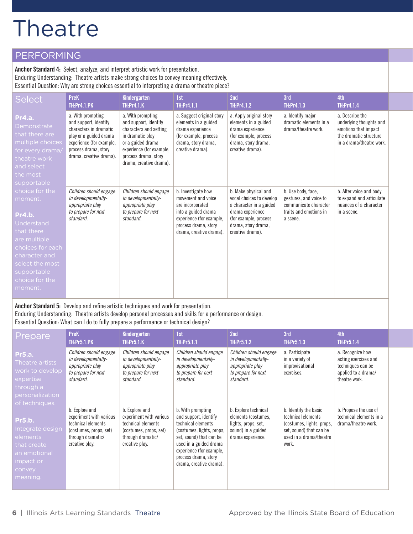#### PERFORMING

**Anchor Standard 4:** Select, analyze, and interpret artistic work for presentation. Enduring Understanding: Theatre artists make strong choices to convey meaning effectively. Essential Question: Why are strong choices essential to interpreting a drama or theatre piece?

| <b>Select</b>                                                                                                                                                                       | <b>PreK</b><br><b>TH:Pr4.1.PK</b>                                                                                                                                             | Kindergarten<br><b>TH:Pr4.1.K</b>                                                                                                                                                            | 1st<br><b>TH:Pr4.1.1</b>                                                                                                                                           | 2 <sub>nd</sub><br>TH:Pr4.1.2                                                                                                                                       | 3rd<br><b>TH:Pr4.1.3</b>                                                                                    | 4th<br>TH:Pr4.1.4                                                                                                        |
|-------------------------------------------------------------------------------------------------------------------------------------------------------------------------------------|-------------------------------------------------------------------------------------------------------------------------------------------------------------------------------|----------------------------------------------------------------------------------------------------------------------------------------------------------------------------------------------|--------------------------------------------------------------------------------------------------------------------------------------------------------------------|---------------------------------------------------------------------------------------------------------------------------------------------------------------------|-------------------------------------------------------------------------------------------------------------|--------------------------------------------------------------------------------------------------------------------------|
| Pr4.a.<br>Demonstrate<br>that there are<br>multiple choices<br>for every drama/<br>theatre work<br>and select<br>the most<br>supportable                                            | a. With prompting<br>and support, identify<br>characters in dramatic<br>play or a guided drama<br>experience (for example,<br>process drama, story<br>drama, creative drama). | a. With prompting<br>and support, identify<br>characters and setting<br>in dramatic play<br>or a guided drama<br>experience (for example,<br>process drama, story<br>drama, creative drama). | a. Suggest original story<br>elements in a guided<br>drama experience<br>(for example, process<br>drama, story drama,<br>creative drama).                          | a. Apply original story<br>elements in a guided<br>drama experience<br>(for example, process<br>drama, story drama,<br>creative drama).                             | a. Identify major<br>dramatic elements in a<br>drama/theatre work.                                          | a. Describe the<br>underlying thoughts and<br>emotions that impact<br>the dramatic structure<br>in a drama/theatre work. |
| choice for the<br>moment.<br>Pr4.b.<br>Understand<br>that there<br>are multiple<br>choices for each<br>character and<br>select the most<br>supportable<br>choice for the<br>moment. | Children should engage<br>in developmentally-<br>appropriate play<br>to prepare for next<br>standard.                                                                         | Children should engage<br>in developmentally-<br>appropriate play<br>to prepare for next<br>standard.                                                                                        | b. Investigate how<br>movement and voice<br>are incorporated<br>into a guided drama<br>experience (for example,<br>process drama, story<br>drama, creative drama). | b. Make physical and<br>vocal choices to develop<br>a character in a guided<br>drama experience<br>(for example, process<br>drama, story drama,<br>creative drama). | b. Use body, face,<br>gestures, and voice to<br>communicate character<br>traits and emotions in<br>a scene. | b. Alter voice and body<br>to expand and articulate<br>nuances of a character<br>in a scene.                             |

**Anchor Standard 5:** Develop and refine artistic techniques and work for presentation.

Enduring Understanding: Theatre artists develop personal processes and skills for a performance or design.

Essential Question: What can I do to fully prepare a performance or technical design?

| Prepare                                                                                                            | <b>PreK</b><br><b>TH:Pr5.1.PK</b>                                                                                                | Kindergarten<br><b>TH:Pr5.1.K</b>                                                                                                | 1st<br>TH:Pr5.1.1                                                                                                                                                                                                                 | 2 <sub>nd</sub><br>TH:Pr5.1.2                                                                                 | 3rd<br>TH:Pr5.1.3                                                                                                                       | 4th<br><b>TH:Pr5.1.4</b>                                                                              |
|--------------------------------------------------------------------------------------------------------------------|----------------------------------------------------------------------------------------------------------------------------------|----------------------------------------------------------------------------------------------------------------------------------|-----------------------------------------------------------------------------------------------------------------------------------------------------------------------------------------------------------------------------------|---------------------------------------------------------------------------------------------------------------|-----------------------------------------------------------------------------------------------------------------------------------------|-------------------------------------------------------------------------------------------------------|
| <b>Pr5.a.</b><br>Theatre artists<br>work to develop<br>expertise<br>through a<br>personalization<br>of techniques. | Children should engage<br>in developmentally-<br>appropriate play<br>to prepare for next<br>standard.                            | Children should engage<br>in developmentally-<br>appropriate play<br>to prepare for next<br>standard.                            | Children should engage<br>in developmentally-<br>appropriate play<br>to prepare for next<br>standard.                                                                                                                             | Children should engage<br>in developmentally-<br>appropriate play<br>to prepare for next<br>standard.         | a. Participate<br>in a variety of<br>improvisational<br>exercises.                                                                      | a. Recognize how<br>acting exercises and<br>techniques can be<br>applied to a drama/<br>theatre work. |
| <b>Pr5.b.</b><br>Integrate design<br>elements<br>that create<br>an emotional<br>impact or<br>convey<br>meaning.    | b. Explore and<br>experiment with various<br>technical elements<br>(costumes, props, set)<br>through dramatic/<br>creative play. | b. Explore and<br>experiment with various<br>technical elements<br>(costumes, props, set)<br>through dramatic/<br>creative play. | b. With prompting<br>and support, identify<br>technical elements<br>(costumes, lights, props,<br>set, sound) that can be<br>used in a guided drama<br>experience (for example,<br>process drama, story<br>drama, creative drama). | b. Explore technical<br>elements (costumes,<br>lights, props, set,<br>sound) in a guided<br>drama experience. | b. Identify the basic<br>technical elements<br>(costumes, lights, props,<br>set, sound) that can be<br>used in a drama/theatre<br>work. | b. Propose the use of<br>technical elements in a<br>drama/theatre work.                               |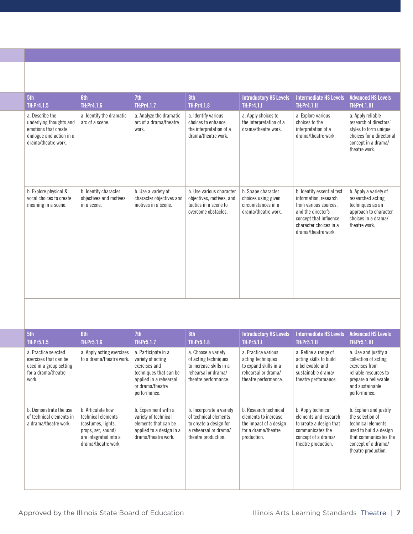| 5th<br>TH:Pr4.1.5                                                                                                     | <b>6th</b><br><b>TH:Pr4.1.6</b>                                | 7th<br>TH:Pr4.1.7                                                      | 8th<br>TH:Pr4.1.8                                                                                    | <b>Introductory HS Levels</b><br><b>TH:Pr4.1.I</b>                                     | <b>Intermediate HS Levels</b><br><b>TH:Pr4.1.II</b>                                                                                                                           | <b>Advanced HS Levels</b><br><b>TH:Pr4.1.III</b>                                                                                          |
|-----------------------------------------------------------------------------------------------------------------------|----------------------------------------------------------------|------------------------------------------------------------------------|------------------------------------------------------------------------------------------------------|----------------------------------------------------------------------------------------|-------------------------------------------------------------------------------------------------------------------------------------------------------------------------------|-------------------------------------------------------------------------------------------------------------------------------------------|
| a. Describe the<br>underlying thoughts and<br>emotions that create<br>dialogue and action in a<br>drama/theatre work. | a. Identify the dramatic<br>arc of a scene.                    | a. Analyze the dramatic<br>arc of a drama/theatre<br>work.             | a. Identify various<br>choices to enhance<br>the interpretation of a<br>drama/theatre work.          | a. Apply choices to<br>the interpretation of a<br>drama/theatre work.                  | a. Explore various<br>choices to the<br>interpretation of a<br>drama/theatre work.                                                                                            | a. Apply reliable<br>research of directors'<br>styles to form unique<br>choices for a directorial<br>concept in a drama/<br>theatre work. |
| b. Explore physical &<br>vocal choices to create<br>meaning in a scene.                                               | b. Identify character<br>objectives and motives<br>in a scene. | b. Use a variety of<br>character objectives and<br>motives in a scene. | b. Use various character<br>objectives, motives, and<br>tactics in a scene to<br>overcome obstacles. | b. Shape character<br>choices using given<br>circumstances in a<br>drama/theatre work. | b. Identify essential text<br>information, research<br>from various sources.<br>and the director's<br>concept that influence<br>character choices in a<br>drama/theatre work. | b. Apply a variety of<br>researched acting<br>techniques as an<br>approach to character<br>choices in a drama/<br>theatre work.           |

| 5th<br>TH:Pr5.1.5                                                                                        | <b>6th</b><br><b>TH:Pr5.1.6</b>                                                                                                     | 7th<br><b>TH:Pr5.1.7</b>                                                                                                                          | 8th<br><b>TH:Pr5.1.8</b>                                                                                                    | <b>Introductory HS Levels</b><br><b>TH:Pr5.1.I</b>                                                               | <b>Intermediate HS Levels</b><br><b>TH:Pr5.1.II</b>                                                                                      | <b>Advanced HS Levels</b><br><b>TH:Pr5.1.III</b>                                                                                                                  |
|----------------------------------------------------------------------------------------------------------|-------------------------------------------------------------------------------------------------------------------------------------|---------------------------------------------------------------------------------------------------------------------------------------------------|-----------------------------------------------------------------------------------------------------------------------------|------------------------------------------------------------------------------------------------------------------|------------------------------------------------------------------------------------------------------------------------------------------|-------------------------------------------------------------------------------------------------------------------------------------------------------------------|
| a. Practice selected<br>exercises that can be<br>used in a group setting<br>for a drama/theatre<br>work. | a. Apply acting exercises<br>to a drama/theatre work.                                                                               | a. Participate in a<br>variety of acting<br>exercises and<br>techniques that can be<br>applied in a rehearsal<br>or drama/theatre<br>performance. | a. Choose a variety<br>of acting techniques<br>to increase skills in a<br>rehearsal or drama/<br>theatre performance.       | a. Practice various<br>acting techniques<br>to expand skills in a<br>rehearsal or drama/<br>theatre performance. | a. Refine a range of<br>acting skills to build<br>a believable and<br>sustainable drama/<br>theatre performance.                         | a. Use and justify a<br>collection of acting<br>exercises from<br>reliable resources to<br>prepare a believable<br>and sustainable<br>performance.                |
| b. Demonstrate the use<br>of technical elements in<br>a drama/theatre work.                              | b. Articulate how<br>technical elements<br>(costumes, lights,<br>props, set, sound)<br>are integrated into a<br>drama/theatre work. | b. Experiment with a<br>variety of technical<br>elements that can be<br>applied to a design in a<br>drama/theatre work.                           | b. Incorporate a variety<br>of technical elements<br>to create a design for<br>a rehearsal or drama/<br>theatre production. | b. Research technical<br>elements to increase<br>the impact of a design<br>for a drama/theatre<br>production.    | b. Apply technical<br>elements and research<br>to create a design that<br>communicates the<br>concept of a drama/<br>theatre production. | b. Explain and justify<br>the selection of<br>technical elements<br>used to build a design<br>that communicates the<br>concept of a drama/<br>theatre production. |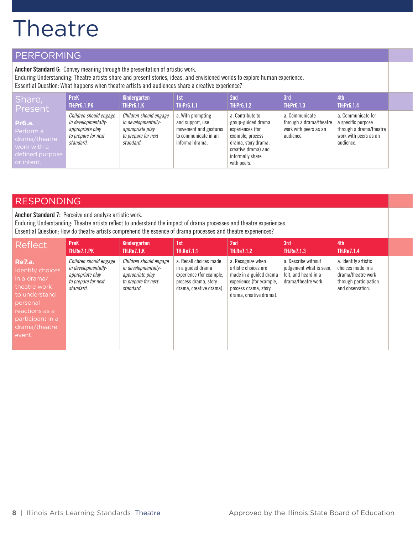#### PERFORMING

**Anchor Standard 6:** Convey meaning through the presentation of artistic work.

Enduring Understanding: Theatre artists share and present stories, ideas, and envisioned worlds to explore human experience.

Essential Question: What happens when theatre artists and audiences share a creative experience?

| Share,                                                                                      | <b>PreK</b>                                                                                           | Kindergarten                                                                                          | 1st                                                                                                       | 2 <sub>nd</sub>                                                                                                                                                 | 3rd                                                                             | 4th                                                                                                       |  |
|---------------------------------------------------------------------------------------------|-------------------------------------------------------------------------------------------------------|-------------------------------------------------------------------------------------------------------|-----------------------------------------------------------------------------------------------------------|-----------------------------------------------------------------------------------------------------------------------------------------------------------------|---------------------------------------------------------------------------------|-----------------------------------------------------------------------------------------------------------|--|
| Present                                                                                     | <b>TH:Pr6.1.PK</b>                                                                                    | <b>TH:Pr6.1.K</b>                                                                                     | TH:Pr6.1.1                                                                                                | <b>TH:Pr6.1.2</b>                                                                                                                                               | <b>TH:Pr6.1.3</b>                                                               | <b>TH:Pr6.1.4</b>                                                                                         |  |
| <b>Pr6.a.</b><br>Perform a<br>drama/theatre<br>work with a<br>defined purpose<br>or intent. | Children should engage<br>in developmentally-<br>appropriate play<br>to prepare for next<br>standard. | Children should engage<br>in developmentally-<br>appropriate play<br>to prepare for next<br>standard. | a. With prompting<br>and support, use<br>movement and gestures<br>to communicate in an<br>informal drama. | a. Contribute to<br>group-guided drama<br>experiences (for<br>example, process<br>drama, story drama,<br>creative drama) and<br>informally share<br>with peers. | a. Communicate<br>through a drama/theatre<br>work with peers as an<br>audience. | a. Communicate for<br>a specific purpose<br>through a drama/theatre<br>work with peers as an<br>audience. |  |

#### RESPONDING

**Anchor Standard 7:** Perceive and analyze artistic work. Enduring Understanding: Theatre artists reflect to understand the impact of drama processes and theatre experiences. Essential Question: How do theatre artists comprehend the essence of drama processes and theatre experiences?

| <b>Reflect</b>                                                                                                                                                 | <b>PreK</b><br><b>TH:Re7.1.PK</b>                                                                     | Kindergarten<br><b>TH:Re7.1.K</b>                                                                     | 1st<br><b>TH:Re7.1.1</b>                                                                                                   | 2 <sub>nd</sub><br><b>TH:Re7.1.2</b>                                                                                                               | 3rd<br><b>TH:Re7.1.3</b>                                                                      | 4th<br><b>TH:Re7.1.4</b>                                                                                     |  |
|----------------------------------------------------------------------------------------------------------------------------------------------------------------|-------------------------------------------------------------------------------------------------------|-------------------------------------------------------------------------------------------------------|----------------------------------------------------------------------------------------------------------------------------|----------------------------------------------------------------------------------------------------------------------------------------------------|-----------------------------------------------------------------------------------------------|--------------------------------------------------------------------------------------------------------------|--|
| <b>Re7.a.</b><br>Identify choices<br>in a drama/<br>theatre work<br>to understand<br>personal<br>reactions as a<br>participant in a<br>drama/theatre<br>event. | Children should engage<br>in developmentally-<br>appropriate play<br>to prepare for next<br>standard. | Children should engage<br>in developmentally-<br>appropriate play<br>to prepare for next<br>standard. | a. Recall choices made<br>in a guided drama<br>experience (for example,<br>process drama, story<br>drama, creative drama). | a. Recognize when<br>artistic choices are<br>made in a guided drama<br>experience (for example,<br>process drama, story<br>drama, creative drama). | a. Describe without<br>judgement what is seen.<br>felt, and heard in a<br>drama/theatre work. | a. Identify artistic<br>choices made in a<br>drama/theatre work<br>through participation<br>and observation. |  |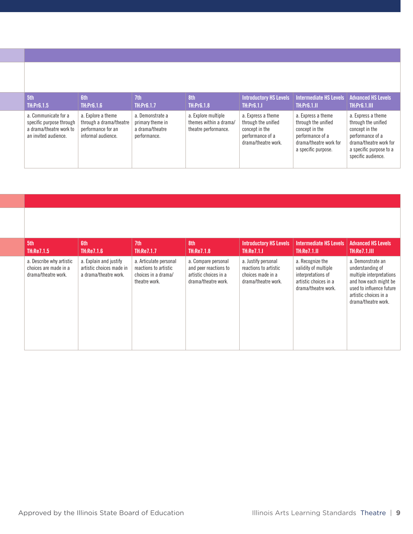| 5th                                                                                                 | <b>6th</b>                                                                                | 7th                                                                     | 8th                                                                   | <b>Introductory HS Levels</b>                                                                          | Intermediate HS Levels                                                                                                           | <b>Advanced HS Levels</b>                                                                                                                                  |
|-----------------------------------------------------------------------------------------------------|-------------------------------------------------------------------------------------------|-------------------------------------------------------------------------|-----------------------------------------------------------------------|--------------------------------------------------------------------------------------------------------|----------------------------------------------------------------------------------------------------------------------------------|------------------------------------------------------------------------------------------------------------------------------------------------------------|
| TH:Pr6.1.5                                                                                          | <b>TH:Pr6.1.6</b>                                                                         | <b>TH:Pr6.1.7</b>                                                       | <b>TH:Pr6.1.8</b>                                                     | <b>TH:Pr6.1.I</b>                                                                                      | <b>TH:Pr6.1.II</b>                                                                                                               | <b>TH:Pr6.1.III</b>                                                                                                                                        |
| a. Communicate for a<br>specific purpose through<br>a drama/theatre work to<br>an invited audience. | a. Explore a theme<br>through a drama/theatre<br>performance for an<br>informal audience. | a. Demonstrate a<br>primary theme in<br>a drama/theatre<br>performance. | a. Explore multiple<br>themes within a drama/<br>theatre performance. | a. Express a theme<br>through the unified<br>concept in the<br>performance of a<br>drama/theatre work. | a. Express a theme<br>through the unified<br>concept in the<br>performance of a<br>drama/theatre work for<br>a specific purpose. | a. Express a theme<br>through the unified<br>concept in the<br>performance of a<br>drama/theatre work for<br>a specific purpose to a<br>specific audience. |

| 5th<br>TH:Re7.1.5                                                        | <b>6th</b><br>TH:Re7.1.6                                                    | 7th<br><b>TH:Re7.1.7</b>                                                                | 8th<br><b>TH:Re7.1.8</b>                                                                     | <b>Introductory HS Levels</b><br><b>TH:Re7.1.I</b>                                       | <b>Intermediate HS Levels</b><br><b>TH:Re7.1.II</b>                                                            | <b>Advanced HS Levels</b><br><b>TH:Re7.1.III</b>                                                                                                                       |
|--------------------------------------------------------------------------|-----------------------------------------------------------------------------|-----------------------------------------------------------------------------------------|----------------------------------------------------------------------------------------------|------------------------------------------------------------------------------------------|----------------------------------------------------------------------------------------------------------------|------------------------------------------------------------------------------------------------------------------------------------------------------------------------|
| a. Describe why artistic<br>choices are made in a<br>drama/theatre work. | a. Explain and justify<br>artistic choices made in<br>a drama/theatre work. | a. Articulate personal<br>reactions to artistic<br>choices in a drama/<br>theatre work. | a. Compare personal<br>and peer reactions to<br>artistic choices in a<br>drama/theatre work. | a. Justify personal<br>reactions to artistic<br>choices made in a<br>drama/theatre work. | a. Recognize the<br>validity of multiple<br>interpretations of<br>artistic choices in a<br>drama/theatre work. | a. Demonstrate an<br>understanding of<br>multiple interpretations<br>and how each might be<br>used to influence future<br>artistic choices in a<br>drama/theatre work. |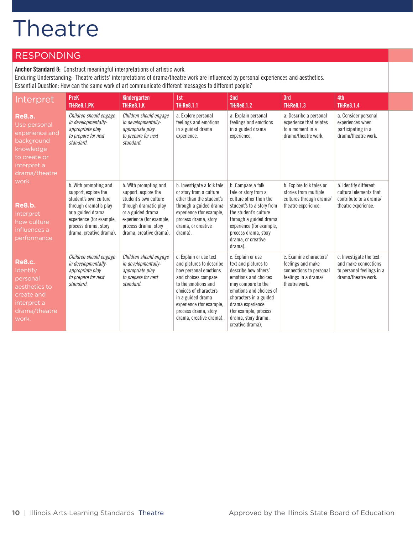#### RESPONDING

**Anchor Standard 8:** Construct meaningful interpretations of artistic work.

Enduring Understanding: Theatre artists' interpretations of drama/theatre work are influenced by personal experiences and aesthetics.

Essential Question: How can the same work of art communicate different messages to different people?

| Interpret                                                                                                                  | <b>PreK</b><br><b>TH:Re8.1.PK</b>                                                                                                                                                                   | Kindergarten<br><b>TH:Re8.1.K</b>                                                                                                                                                                   | 1st<br><b>TH:Re8.1.1</b>                                                                                                                                                                                                                               | 2nd<br><b>TH:Re8.1.2</b>                                                                                                                                                                                                                                     | 3rd<br><b>TH:Re8.1.3</b>                                                                                        | 4th<br><b>TH:Re8.1.4</b>                                                                            |
|----------------------------------------------------------------------------------------------------------------------------|-----------------------------------------------------------------------------------------------------------------------------------------------------------------------------------------------------|-----------------------------------------------------------------------------------------------------------------------------------------------------------------------------------------------------|--------------------------------------------------------------------------------------------------------------------------------------------------------------------------------------------------------------------------------------------------------|--------------------------------------------------------------------------------------------------------------------------------------------------------------------------------------------------------------------------------------------------------------|-----------------------------------------------------------------------------------------------------------------|-----------------------------------------------------------------------------------------------------|
| <b>Re8.a.</b><br>Use personal<br>experience and<br>background<br>knowledge<br>to create or<br>interpret a<br>drama/theatre | Children should engage<br>in developmentally-<br>appropriate play<br>to prepare for next<br>standard.                                                                                               | Children should engage<br>in developmentally-<br>appropriate play<br>to prepare for next<br>standard.                                                                                               | a. Explore personal<br>feelings and emotions<br>in a guided drama<br>experience.                                                                                                                                                                       | a. Explain personal<br>feelings and emotions<br>in a guided drama<br>experience.                                                                                                                                                                             | a. Describe a personal<br>experience that relates<br>to a moment in a<br>drama/theatre work.                    | a. Consider personal<br>experiences when<br>participating in a<br>drama/theatre work.               |
| work.<br><b>Re8.b.</b><br>Interpret<br>how culture<br>influences a<br>performance.                                         | b. With prompting and<br>support, explore the<br>student's own culture<br>through dramatic play<br>or a guided drama<br>experience (for example,<br>process drama, story<br>drama, creative drama). | b. With prompting and<br>support, explore the<br>student's own culture<br>through dramatic play<br>or a guided drama<br>experience (for example,<br>process drama, story<br>drama, creative drama). | b. Investigate a folk tale<br>or story from a culture<br>other than the student's<br>through a guided drama<br>experience (for example,<br>process drama, story<br>drama, or creative<br>drama).                                                       | b. Compare a folk<br>tale or story from a<br>culture other than the<br>student's to a story from<br>the student's culture<br>through a guided drama<br>experience (for example,<br>process drama, story<br>drama, or creative<br>drama).                     | b. Explore folk tales or<br>stories from multiple<br>cultures through drama/<br>theatre experience.             | b. Identify different<br>cultural elements that<br>contribute to a drama/<br>theatre experience.    |
| <b>Re8.c.</b><br>Identify<br>personal<br>aesthetics to<br>create and<br>interpret a<br>drama/theatre<br>work.              | Children should engage<br>in developmentally-<br>appropriate play<br>to prepare for next<br>standard.                                                                                               | Children should engage<br>in developmentally-<br>appropriate play<br>to prepare for next<br>standard.                                                                                               | c. Explain or use text<br>and pictures to describe<br>how personal emotions<br>and choices compare<br>to the emotions and<br>choices of characters<br>in a guided drama<br>experience (for example,<br>process drama, story<br>drama, creative drama). | c. Explain or use<br>text and pictures to<br>describe how others'<br>emotions and choices<br>may compare to the<br>emotions and choices of<br>characters in a guided<br>drama experience<br>(for example, process<br>drama, story drama,<br>creative drama). | c. Examine characters'<br>feelings and make<br>connections to personal<br>feelings in a drama/<br>theatre work. | c. Investigate the text<br>and make connections<br>to personal feelings in a<br>drama/theatre work. |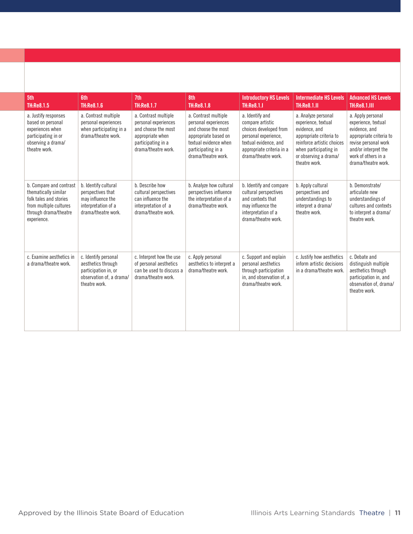| 5th<br><b>TH:Re8.1.5</b>                                                                                                                    | <b>6th</b><br><b>TH:Re8.1.6</b>                                                                                 | 7th<br><b>TH:Re8.1.7</b>                                                                                                             | 8th<br><b>TH:Re8.1.8</b>                                                                                                                                          | <b>Introductory HS Levels</b><br><b>TH:Re8.1.I</b>                                                                                                                 | <b>Intermediate HS Levels</b><br><b>TH:Re8.1.II</b>                                                                                                                                     | <b>Advanced HS Levels</b><br><b>TH:Re8.1.III</b>                                                                                                                                   |
|---------------------------------------------------------------------------------------------------------------------------------------------|-----------------------------------------------------------------------------------------------------------------|--------------------------------------------------------------------------------------------------------------------------------------|-------------------------------------------------------------------------------------------------------------------------------------------------------------------|--------------------------------------------------------------------------------------------------------------------------------------------------------------------|-----------------------------------------------------------------------------------------------------------------------------------------------------------------------------------------|------------------------------------------------------------------------------------------------------------------------------------------------------------------------------------|
| a. Justify responses<br>based on personal<br>experiences when<br>participating in or<br>observing a drama/<br>theatre work.                 | a. Contrast multiple<br>personal experiences<br>when participating in a<br>drama/theatre work.                  | a. Contrast multiple<br>personal experiences<br>and choose the most<br>appropriate when<br>participating in a<br>drama/theatre work. | a. Contrast multiple<br>personal experiences<br>and choose the most<br>appropriate based on<br>textual evidence when<br>participating in a<br>drama/theatre work. | a. Identify and<br>compare artistic<br>choices developed from<br>personal experience,<br>textual evidence, and<br>appropriate criteria in a<br>drama/theatre work. | a. Analyze personal<br>experience, textual<br>evidence, and<br>appropriate criteria to<br>reinforce artistic choices<br>when participating in<br>or observing a drama/<br>theatre work. | a. Apply personal<br>experience, textual<br>evidence, and<br>appropriate criteria to<br>revise personal work<br>and/or interpret the<br>work of others in a<br>drama/theatre work. |
| b. Compare and contrast<br>thematically similar<br>folk tales and stories<br>from multiple cultures<br>through drama/theatre<br>experience. | b. Identify cultural<br>perspectives that<br>may influence the<br>interpretation of a<br>drama/theatre work.    | b. Describe how<br>cultural perspectives<br>can influence the<br>interpretation of a<br>drama/theatre work.                          | b. Analyze how cultural<br>perspectives influence<br>the interpretation of a<br>drama/theatre work.                                                               | b. Identify and compare<br>cultural perspectives<br>and contexts that<br>may influence the<br>interpretation of a<br>drama/theatre work.                           | b. Apply cultural<br>perspectives and<br>understandings to<br>interpret a drama/<br>theatre work.                                                                                       | b. Demonstrate/<br>articulate new<br>understandings of<br>cultures and contexts<br>to interpret a drama/<br>theatre work.                                                          |
| c. Examine aesthetics in<br>a drama/theatre work.                                                                                           | c. Identify personal<br>aesthetics through<br>participation in, or<br>observation of, a drama/<br>theatre work. | c. Interpret how the use<br>of personal aesthetics<br>can be used to discuss a<br>drama/theatre work.                                | c. Apply personal<br>aesthetics to interpret a<br>drama/theatre work.                                                                                             | c. Support and explain<br>personal aesthetics<br>through participation<br>in, and observation of, a<br>drama/theatre work.                                         | c. Justify how aesthetics<br>inform artistic decisions<br>in a drama/theatre work.                                                                                                      | c. Debate and<br>distinguish multiple<br>aesthetics through<br>participation in, and<br>observation of, drama/<br>theatre work.                                                    |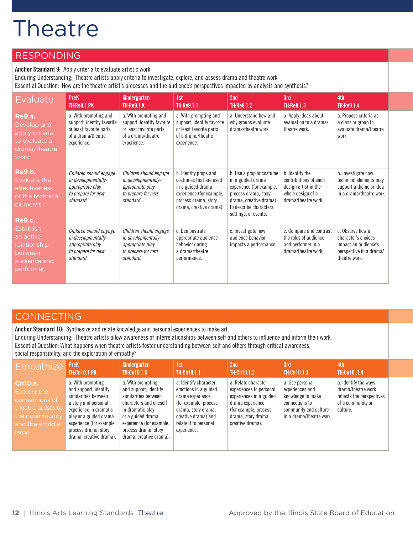#### **RESPONDING**

**Anchor Standard 9:** Apply criteria to evaluate artistic work.

Enduring Understanding: Theatre artists apply criteria to investigate, explore, and assess drama and theatre work.

Essential Question: How are the theatre artist's processes and the audience's perspectives impacted by analysis and synthesis?

| <b>Evaluate</b>                                                                           | <b>PreK</b><br><b>TH:Re9.1.PK</b>                                                                                   | <b>Kindergarten</b><br><b>TH:Re9.1.K</b>                                                                            | 1st<br><b>TH:Re9.1.1</b>                                                                                                                            | 2 <sub>nd</sub><br><b>TH:Re9.1.2</b>                                                                                                                                           | 3rd<br><b>TH:Re9.1.3</b>                                                                                     | 4th<br><b>TH:Re9.1.4</b>                                                                                    |
|-------------------------------------------------------------------------------------------|---------------------------------------------------------------------------------------------------------------------|---------------------------------------------------------------------------------------------------------------------|-----------------------------------------------------------------------------------------------------------------------------------------------------|--------------------------------------------------------------------------------------------------------------------------------------------------------------------------------|--------------------------------------------------------------------------------------------------------------|-------------------------------------------------------------------------------------------------------------|
| <b>Re9.a.</b><br>Develop and<br>apply criteria<br>to evaluate a<br>drama/theatre<br>work. | a. With prompting and<br>support, identify favorite<br>or least favorite parts<br>of a drama/theatre<br>experience. | a. With prompting and<br>support, identify favorite<br>or least favorite parts<br>of a drama/theatre<br>experience. | a. With prompting and<br>support, identify favorite<br>or least favorite parts<br>of a drama/theatre<br>experience.                                 | a. Understand how and<br>why groups evaluate<br>drama/theatre work.                                                                                                            | a. Apply ideas about<br>evaluation to a drama/<br>theatre work.                                              | a. Propose criteria as<br>a class or group to<br>evaluate drama/theatre<br>work.                            |
| Re9.b.<br>Evaluate the<br>effectiveness<br>of the technical<br>elements.<br><b>Re9.c.</b> | Children should engage<br>in developmentally-<br>appropriate play<br>to prepare for next<br>standard.               | Children should engage<br>in developmentally-<br>appropriate play<br>to prepare for next<br>standard.               | b. Identify props and<br>costumes that are used<br>in a guided drama<br>experience (for example,<br>process drama, story<br>drama, creative drama). | b. Use a prop or costume<br>in a guided drama<br>experience (for example,<br>process drama, story<br>drama, creative drama)<br>to describe characters,<br>settings, or events. | b. Identify the<br>contributions of each<br>design artist in the<br>whole design of a<br>drama/theatre work. | b. Investigate how<br>technical elements may<br>support a theme or idea<br>in a drama/theatre work.         |
| <b>Establish</b><br>an active<br>relationship<br>between<br>audience and<br>performer.    | Children should engage<br>in developmentally-<br>appropriate play<br>to prepare for next<br>standard.               | Children should engage<br>in developmentally-<br>appropriate play<br>to prepare for next<br>standard.               | c. Demonstrate<br>appropriate audience<br>behavior during<br>a drama/theatre<br>performance.                                                        | c. Investigate how<br>audience behavior<br>impacts a performance.                                                                                                              | c. Compare and contrast<br>the roles of audience<br>and performer in a<br>drama/theatre work.                | c. Observe how a<br>character's choices<br>impact an audience's<br>perspective in a drama/<br>theatre work. |

#### **CONNECTING**

**Anchor Standard 10:** Synthesize and relate knowledge and personal experiences to make art.

Enduring Understanding: Theatre artists allow awareness of interrelationships between self and others to influence and inform their work.

Essential Question: What happens when theatre artists foster understanding between self and others through critical awareness,

social responsibility, and the exploration of empathy?

| <b>Empathize</b>                                                                                                       | <b>PreK</b><br><b>TH:Cn10.1.PK</b>                                                                                                                                                                                            | Kindergarten<br><b>TH:Cn10.1.K</b>                                                                                                                                                                                   | 1st<br><b>TH:Cn10.1.1</b>                                                                                                                                                         | 2nd<br>TH:Cn10.1.2                                                                                                                                                | 3rd<br>TH:Cn10.1.3                                                                                                             | 4th<br><b>TH:Cn10.1.4</b>                                                                                |  |
|------------------------------------------------------------------------------------------------------------------------|-------------------------------------------------------------------------------------------------------------------------------------------------------------------------------------------------------------------------------|----------------------------------------------------------------------------------------------------------------------------------------------------------------------------------------------------------------------|-----------------------------------------------------------------------------------------------------------------------------------------------------------------------------------|-------------------------------------------------------------------------------------------------------------------------------------------------------------------|--------------------------------------------------------------------------------------------------------------------------------|----------------------------------------------------------------------------------------------------------|--|
| <b>Cn10.a.</b><br>Explore the<br>connections of<br>theatre artists to<br>their community<br>and the world at<br>large. | a. With prompting<br>and support, identify<br>similarities between<br>a story and personal<br>experience in dramatic<br>play or a guided drama<br>experience (for example,<br>process drama, story<br>drama, creative drama). | a. With prompting<br>and support, identify<br>similarities between<br>characters and oneself<br>in dramatic play<br>or a guided drama<br>experience (for example,<br>process drama, story<br>drama, creative drama). | a. Identify character<br>emotions in a guided<br>drama experience<br>(for example, process)<br>drama, story drama,<br>creative drama) and<br>relate it to personal<br>experience. | a. Relate character<br>experiences to personal<br>experiences in a guided<br>drama experience<br>(for example, process<br>drama, story drama,<br>creative drama). | a. Use personal<br>experiences and<br>knowledge to make<br>connections to<br>community and culture<br>in a drama/theatre work. | a. Identify the ways<br>drama/theatre work<br>reflects the perspectives<br>of a community or<br>culture. |  |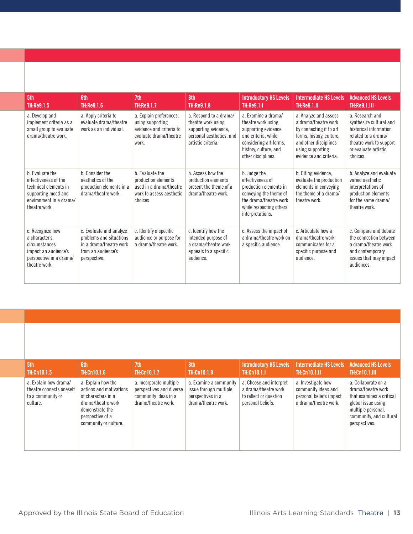| 5th<br>TH:Re9.1.5                                                                                                                   | <b>6th</b><br><b>TH:Re9.1.6</b>                                                                                     | 7th<br><b>TH:Re9.1.7</b>                                                                                   | 8th<br><b>TH:Re9.1.8</b>                                                                                               | <b>Introductory HS Levels</b><br><b>TH:Re9.1.I</b>                                                                                                               | <b>Intermediate HS Levels</b><br><b>TH:Re9.1.II</b>                                                                                                                         | <b>Advanced HS Levels</b><br><b>TH:Re9.1.III</b>                                                                                                           |
|-------------------------------------------------------------------------------------------------------------------------------------|---------------------------------------------------------------------------------------------------------------------|------------------------------------------------------------------------------------------------------------|------------------------------------------------------------------------------------------------------------------------|------------------------------------------------------------------------------------------------------------------------------------------------------------------|-----------------------------------------------------------------------------------------------------------------------------------------------------------------------------|------------------------------------------------------------------------------------------------------------------------------------------------------------|
| a. Develop and<br>implement criteria as a<br>small group to evaluate<br>drama/theatre work.                                         | a. Apply criteria to<br>evaluate drama/theatre<br>work as an individual.                                            | a. Explain preferences,<br>using supporting<br>evidence and criteria to<br>evaluate drama/theatre<br>work. | a. Respond to a drama/<br>theatre work using<br>supporting evidence,<br>personal aesthetics, and<br>artistic criteria. | a. Examine a drama/<br>theatre work using<br>supporting evidence<br>and criteria, while<br>considering art forms,<br>history, culture, and<br>other disciplines. | a. Analyze and assess<br>a drama/theatre work<br>by connecting it to art<br>forms, history, culture,<br>and other disciplines<br>using supporting<br>evidence and criteria. | a. Research and<br>synthesize cultural and<br>historical information<br>related to a drama/<br>theatre work to support<br>or evaluate artistic<br>choices. |
| b. Evaluate the<br>effectiveness of the<br>technical elements in<br>supporting mood and<br>environment in a drama/<br>theatre work. | b. Consider the<br>aesthetics of the<br>production elements in a<br>drama/theatre work.                             | b. Evaluate the<br>production elements<br>used in a drama/theatre<br>work to assess aesthetic<br>choices.  | b. Assess how the<br>production elements<br>present the theme of a<br>drama/theatre work.                              | b. Judge the<br>effectiveness of<br>production elements in<br>conveying the theme of<br>the drama/theatre work<br>while respecting others'<br>interpretations.   | b. Citing evidence,<br>evaluate the production<br>elements in conveying<br>the theme of a drama/<br>theatre work.                                                           | b. Analyze and evaluate<br>varied aesthetic<br>interpretations of<br>production elements<br>for the same drama/<br>theatre work.                           |
| c. Recognize how<br>a character's<br>circumstances<br>impact an audience's<br>perspective in a drama/<br>theatre work.              | c. Evaluate and analyze<br>problems and situations<br>in a drama/theatre work<br>from an audience's<br>perspective. | c. Identify a specific<br>audience or purpose for<br>a drama/theatre work.                                 | c. Identify how the<br>intended purpose of<br>a drama/theatre work<br>appeals to a specific<br>audience.               | c. Assess the impact of<br>a drama/theatre work on<br>a specific audience.                                                                                       | c. Articulate how a<br>drama/theatre work<br>communicates for a<br>specific purpose and<br>audience.                                                                        | c. Compare and debate<br>the connection between<br>a drama/theatre work<br>and contemporary<br>issues that may impact<br>audiences.                        |

| 5th<br>TH:Cn10.1.5                                                                 | <b>Gth</b><br><b>TH:Cn10.1.6</b>                                                                                                                          | 7th<br><b>TH:Cn10.1.7</b>                                                                          | 8th<br><b>TH:Cn10.1.8</b>                                                                    | <b>Introductory HS Levels</b><br><b>TH:Cn10.1.I</b>                                            | <b>Intermediate HS Levels</b><br><b>TH:Cn10.1.II</b>                                          | <b>Advanced HS Levels</b><br><b>TH:Cn10.1.III</b>                                                                                                             |
|------------------------------------------------------------------------------------|-----------------------------------------------------------------------------------------------------------------------------------------------------------|----------------------------------------------------------------------------------------------------|----------------------------------------------------------------------------------------------|------------------------------------------------------------------------------------------------|-----------------------------------------------------------------------------------------------|---------------------------------------------------------------------------------------------------------------------------------------------------------------|
| a. Explain how drama/<br>theatre connects oneself<br>to a community or<br>culture. | a. Explain how the<br>actions and motivations<br>of characters in a<br>drama/theatre work<br>demonstrate the<br>perspective of a<br>community or culture. | a. Incorporate multiple<br>perspectives and diverse<br>community ideas in a<br>drama/theatre work. | a. Examine a community<br>issue through multiple<br>perspectives in a<br>drama/theatre work. | a. Choose and interpret<br>a drama/theatre work<br>to reflect or question<br>personal beliefs. | a. Investigate how<br>community ideas and<br>personal beliefs impact<br>a drama/theatre work. | a. Collaborate on a<br>drama/theatre work<br>that examines a critical<br>global issue using<br>multiple personal,<br>community, and cultural<br>perspectives. |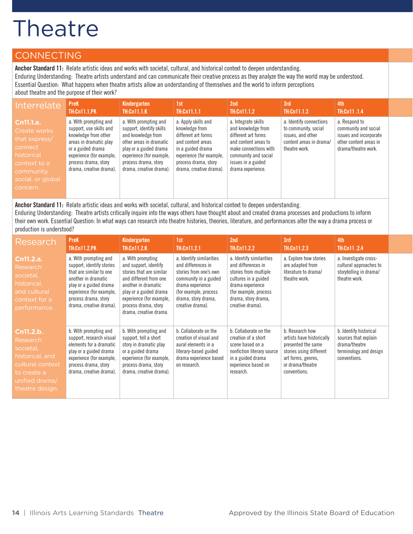### CONNECTING

**Anchor Standard 11:** Relate artistic ideas and works with societal, cultural, and historical context to deepen understanding. Enduring Understanding: Theatre artists understand and can communicate their creative process as they analyze the way the world may be understood. Essential Question: What happens when theatre artists allow an understanding of themselves and the world to inform perceptions about theatre and the purpose of their work?

| Interrelate                                                                                                                        | <b>PreK</b>                                                                                                                                                                                            | Kindergarten                                                                                                                                                                                                | 1st                                                                                                                                                                                   | 2nd                                                                                                                                                                                  | 3rd                                                                                                              | 4th                                                                                                              |
|------------------------------------------------------------------------------------------------------------------------------------|--------------------------------------------------------------------------------------------------------------------------------------------------------------------------------------------------------|-------------------------------------------------------------------------------------------------------------------------------------------------------------------------------------------------------------|---------------------------------------------------------------------------------------------------------------------------------------------------------------------------------------|--------------------------------------------------------------------------------------------------------------------------------------------------------------------------------------|------------------------------------------------------------------------------------------------------------------|------------------------------------------------------------------------------------------------------------------|
|                                                                                                                                    | <b>TH:Cn11.1.PK</b>                                                                                                                                                                                    | <b>TH:Cn11.1.K</b>                                                                                                                                                                                          | TH:Cn11.1.1                                                                                                                                                                           | TH:Cn11.1.2                                                                                                                                                                          | TH:Cn11.1.3                                                                                                      | <b>TH:Cn11.1.4</b>                                                                                               |
| Cn11.1.a.<br>Create works<br>that express/<br>connect<br>historical<br>context to a<br>community,<br>social, or global<br>concern. | a. With prompting and<br>support, use skills and<br>knowledge from other<br>areas in dramatic play<br>or a guided drama<br>experience (for example,<br>process drama, story<br>drama, creative drama). | a. With prompting and<br>support, identify skills<br>and knowledge from<br>other areas in dramatic<br>play or a guided drama<br>experience (for example,<br>process drama, story<br>drama, creative drama). | a. Apply skills and<br>knowledge from<br>different art forms<br>and content areas<br>in a guided drama<br>experience (for example,<br>process drama, story<br>drama, creative drama). | a. Integrate skills<br>and knowledge from<br>different art forms<br>and content areas to<br>make connections with<br>community and social<br>issues in a guided<br>drama experience. | a. Identify connections<br>to community, social<br>issues, and other<br>content areas in drama/<br>theatre work. | a. Respond to<br>community and social<br>issues and incorporate<br>other content areas in<br>drama/theatre work. |

**Anchor Standard 11:** Relate artistic ideas and works with societal, cultural, and historical context to deepen understanding. Enduring Understanding: Theatre artists critically inquire into the ways others have thought about and created drama processes and productions to inform their own work. Essential Question: In what ways can research into theatre histories, theories, literature, and performances alter the way a drama process or production is understood?

| Research                                                                                                                      | <b>PreK</b><br><b>TH:Cn11.2.PK</b>                                                                                                                                                                            | <b>Kindergarten</b><br><b>TH:Cn11.2.K</b>                                                                                                                                                                                       | 1st<br><b>TH:Cn11.2.1</b>                                                                                                                                                                 | 2nd<br><b>TH:Cn11.2.2</b>                                                                                                                                                                | 3rd<br><b>TH:Cn11.2.3</b>                                                                                                                               | 4th<br><b>TH:Cn11.2.4</b>                                                                                 |
|-------------------------------------------------------------------------------------------------------------------------------|---------------------------------------------------------------------------------------------------------------------------------------------------------------------------------------------------------------|---------------------------------------------------------------------------------------------------------------------------------------------------------------------------------------------------------------------------------|-------------------------------------------------------------------------------------------------------------------------------------------------------------------------------------------|------------------------------------------------------------------------------------------------------------------------------------------------------------------------------------------|---------------------------------------------------------------------------------------------------------------------------------------------------------|-----------------------------------------------------------------------------------------------------------|
| Cn11.2.a.<br>Research<br>societal,<br>historical,<br>and cultural<br>context for a<br>performance.                            | a. With prompting and<br>support, identify stories<br>that are similar to one<br>another in dramatic<br>play or a guided drama<br>experience (for example,<br>process drama, story<br>drama, creative drama). | a. With prompting<br>and support, identify<br>stories that are similar<br>and different from one<br>another in dramatic<br>play or a guided drama<br>experience (for example,<br>process drama, story<br>drama, creative drama. | a. Identify similarities<br>and differences in<br>stories from one's own<br>community in a guided<br>drama experience<br>(for example, process<br>drama, story drama,<br>creative drama). | a. Identify similarities<br>and differences in<br>stories from multiple<br>cultures in a guided<br>drama experience<br>(for example, process)<br>drama, story drama,<br>creative drama). | a. Explore how stories<br>are adapted from<br>literature to drama/<br>theatre work.                                                                     | a. Investigate cross-<br>cultural approaches to<br>storytelling in drama/<br>theatre work.                |
| Cn11.2.b.<br>Research<br>societal,<br>historical, and<br>cultural context<br>to create a<br>unified drama/<br>theatre design. | b. With prompting and<br>support, research visual<br>elements for a dramatic<br>play or a guided drama<br>experience (for example,<br>process drama, story<br>drama, creative drama).                         | b. With prompting and<br>support, tell a short<br>story in dramatic play<br>or a guided drama<br>experience (for example,<br>process drama, story<br>drama, creative drama).                                                    | b. Collaborate on the<br>creation of visual and<br>aural elements in a<br>literary-based guided<br>drama experience based<br>on research.                                                 | b. Collaborate on the<br>creation of a short<br>scene based on a<br>nonfiction literary source<br>in a guided drama<br>experience based on<br>research.                                  | b. Research how<br>artists have historically<br>presented the same<br>stories using different<br>art forms, genres,<br>or drama/theatre<br>conventions. | b. Identify historical<br>sources that explain<br>drama/theatre<br>terminology and design<br>conventions. |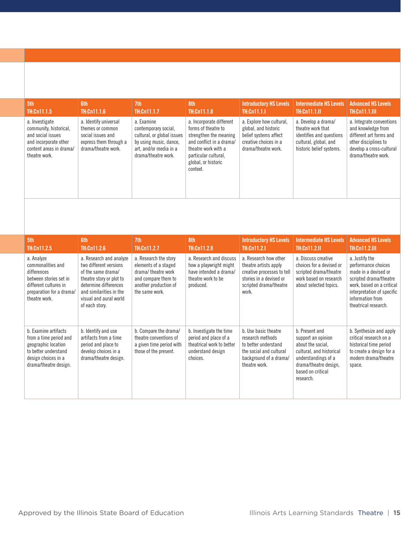| 5th<br>TH:Cn11.1.5                                                                                                                 | <b>6th</b><br><b>TH:Cn11.1.6</b>                                                                                | 7th<br>TH:Cn11.1.7                                                                                                                          | 8th<br>TH:Cn11.1.8                                                                                                                                                                      | <b>Introductory HS Levels</b><br><b>TH:Cn11.1.1</b>                                                                       | <b>Intermediate HS Levels</b><br><b>TH:Cn11.1.II</b>                                                                      | <b>Advanced HS Levels</b><br><b>TH:Cn11.1.III</b>                                                                                                    |
|------------------------------------------------------------------------------------------------------------------------------------|-----------------------------------------------------------------------------------------------------------------|---------------------------------------------------------------------------------------------------------------------------------------------|-----------------------------------------------------------------------------------------------------------------------------------------------------------------------------------------|---------------------------------------------------------------------------------------------------------------------------|---------------------------------------------------------------------------------------------------------------------------|------------------------------------------------------------------------------------------------------------------------------------------------------|
| a. Investigate<br>community, historical,<br>and social issues<br>and incorporate other<br>content areas in drama/<br>theatre work. | a. Identify universal<br>themes or common<br>social issues and<br>express them through a<br>drama/theatre work. | a. Examine<br>contemporary social,<br>cultural, or global issues<br>by using music, dance,<br>art, and/or media in a<br>drama/theatre work. | a. Incorporate different<br>forms of theatre to<br>strengthen the meaning<br>and conflict in a drama/<br>theatre work with a<br>particular cultural,<br>global, or historic<br>context. | a. Explore how cultural,<br>global, and historic<br>belief systems affect<br>creative choices in a<br>drama/theatre work. | a. Develop a drama/<br>theatre work that<br>identifies and questions<br>cultural, global, and<br>historic belief systems. | a. Integrate conventions<br>and knowledge from<br>different art forms and<br>other disciplines to<br>develop a cross-cultural<br>drama/theatre work. |

| 5th<br>TH:Cn11.2.5                                                                                                                             | <b>6th</b><br>TH:Cn11.2.6                                                                                                                                                                           | 7th<br><b>TH:Cn11.2.7</b>                                                                                                             | 8th<br><b>TH:Cn11.2.8</b>                                                                                      | <b>Introductory HS Levels</b><br><b>TH:Cn11.2.I</b>                                                                                        | <b>Intermediate HS Levels</b><br><b>TH:Cn11.2.II</b>                                                                                                                    | <b>Advanced HS Levels</b><br><b>TH:Cn11.2.III</b>                                                                                                                                              |
|------------------------------------------------------------------------------------------------------------------------------------------------|-----------------------------------------------------------------------------------------------------------------------------------------------------------------------------------------------------|---------------------------------------------------------------------------------------------------------------------------------------|----------------------------------------------------------------------------------------------------------------|--------------------------------------------------------------------------------------------------------------------------------------------|-------------------------------------------------------------------------------------------------------------------------------------------------------------------------|------------------------------------------------------------------------------------------------------------------------------------------------------------------------------------------------|
| a. Analyze<br>commonalities and<br>differences<br>between stories set in<br>different cultures in<br>preparation for a drama/<br>theatre work. | a. Research and analyze<br>two different versions<br>of the same drama/<br>theatre story or plot to<br>determine differences<br>and similarities in the<br>visual and aural world<br>of each story. | a. Research the story<br>elements of a staged<br>drama/theatre work<br>and compare them to<br>another production of<br>the same work. | a. Research and discuss<br>how a playwright might<br>have intended a drama/<br>theatre work to be<br>produced. | a. Research how other<br>theatre artists apply<br>creative processes to tell<br>stories in a devised or<br>scripted drama/theatre<br>work. | a. Discuss creative<br>choices for a devised or<br>scripted drama/theatre<br>work based on research<br>about selected topics.                                           | a. Justify the<br>performance choices<br>made in a devised or<br>scripted drama/theatre<br>work, based on a critical<br>interpretation of specific<br>information from<br>theatrical research. |
| b. Examine artifacts<br>from a time period and<br>geographic location<br>to better understand<br>design choices in a<br>drama/theatre design.  | b. Identify and use<br>artifacts from a time<br>period and place to<br>develop choices in a<br>drama/theatre design.                                                                                | b. Compare the drama/<br>theatre conventions of<br>a given time period with<br>those of the present.                                  | b. Investigate the time<br>period and place of a<br>theatrical work to better<br>understand design<br>choices. | b. Use basic theatre<br>research methods<br>to better understand<br>the social and cultural<br>background of a drama/<br>theatre work.     | b. Present and<br>support an opinion<br>about the social,<br>cultural, and historical<br>understandings of a<br>drama/theatre design,<br>based on critical<br>research. | b. Synthesize and apply<br>critical research on a<br>historical time period<br>to create a design for a<br>modern drama/theatre<br>space.                                                      |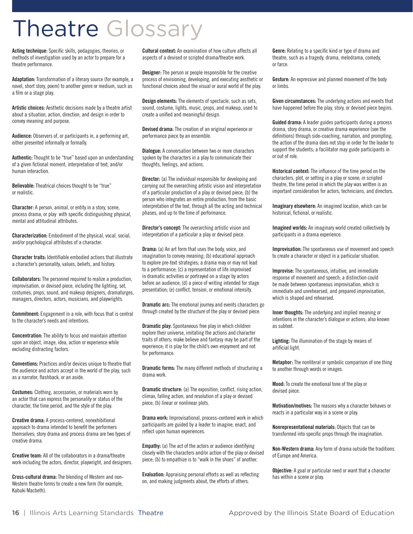# Theatre Glossary

**Acting technique:** Specific skills, pedagogies, theories, or methods of investigation used by an actor to prepare for a theatre performance.

**Adaptation:** Transformation of a literary source (for example, a novel, short story, poem) to another genre or medium, such as a film or a stage play.

**Artistic choices:** Aesthetic decisions made by a theatre artist about a situation, action, direction, and design in order to convey meaning and purpose.

**Audience:** Observers of, or participants in, a performing art, either presented informally or formally.

**Authentic:** Thought to be "true" based upon an understanding of a given fictional moment, interpretation of text, and/or human interaction.

**Believable:** Theatrical choices thought to be "true" or realistic.

**Character:** A person, animal, or entity in a story, scene, process drama, or play with specific distinguishing physical, mental and attitudinal attributes.

**Characterization:** Embodiment of the physical, vocal, social, and/or psychological attributes of a character.

**Character traits:** Identifiable embodied actions that illustrate a character's personality, values, beliefs, and history.

**Collaborators:** The personnel required to realize a production, improvisation, or devised piece, including the lighting, set, costumes, props, sound, and makeup designers, dramaturges, managers, directors, actors, musicians, and playwrights.

**Commitment:** Engagement in a role, with focus that is central to the character's needs and intentions.

**Concentration:** The ability to focus and maintain attention upon an object, image, idea, action or experience while excluding distracting factors.

**Conventions:** Practices and/or devices unique to theatre that the audience and actors accept in the world of the play, such as a narrator, flashback, or an aside.

**Costumes:** Clothing, accessories, or materials worn by an actor that can express the personality or status of the character, the time period, and the style of the play.

**Creative drama:** A process-centered, nonexhibitional approach to drama intended to benefit the performers themselves; story drama and process drama are two types of creative drama.

**Creative team:** All of the collaborators in a drama/theatre work including the actors, director, playwright, and designers.

**Cross-cultural drama:** The blending of Western and non-Western theatre forms to create a new form (for example, Kabuki Macbeth).

**Cultural context:** An examination of how culture affects all aspects of a devised or scripted drama/theatre work.

**Designer:** The person or people responsible for the creative process of envisioning, developing, and executing aesthetic or functional choices about the visual or aural world of the play.

**Design elements:** The elements of spectacle, such as sets, sound, costume, lights, music, props, and makeup, used to create a unified and meaningful design.

**Devised drama:** The creation of an original experience or performance piece by an ensemble.

**Dialogue:** A conversation between two or more characters spoken by the characters in a play to communicate their thoughts, feelings, and actions.

**Director:** (a) The individual responsible for developing and carrying out the overarching artistic vision and interpretation of a particular production of a play or devised piece; (b) the person who integrates an entire production, from the basic interpretation of the text, through all the acting and technical phases, and up to the time of performance.

**Director's concept:** The overarching artistic vision and interpretation of a particular a play or devised piece.

**Drama:** (a) An art form that uses the body, voice, and imagination to convey meaning; (b) educational approach to explore pre-text strategies; a drama may or may not lead to a performance; (c) a representation of life improvised in dramatic activities or portrayed on a stage by actors before an audience; (d) a piece of writing intended for stage presentation; (e) conflict, tension, or emotional intensity.

**Dramatic arc:** The emotional journey and events characters go through created by the structure of the play or devised piece.

**Dramatic play:** Spontaneous free play in which children explore their universe, imitating the actions and character traits of others; make believe and fantasy may be part of the experience; it is play for the child's own enjoyment and not for performance.

**Dramatic forms:** The many different methods of structuring a drama work.

**Dramatic structure:** (a) The exposition, conflict, rising action, climax, falling action, and resolution of a play or devised piece; (b) linear or nonlinear plots.

**Drama work:** Improvisational, process-centered work in which participants are guided by a leader to imagine, enact, and reflect upon human experiences.

**Empathy:** (a) The act of the actors or audience identifying closely with the characters and/or action of the play or devised piece; (b) to empathize is to "walk in the shoes" of another.

**Evaluation:** Appraising personal efforts as well as reflecting on, and making judgments about, the efforts of others.

**Genre:** Relating to a specific kind or type of drama and theatre, such as a tragedy, drama, melodrama, comedy, or farce.

**Gesture:** An expressive and planned movement of the body or limbs.

**Given circumstances:** The underlying actions and events that have happened before the play, story, or devised piece begins.

**Guided drama:** A leader guides participants during a process drama, story drama, or creative drama experience (see the definitions) through side-coaching, narration, and prompting; the action of the drama does not stop in order for the leader to support the students; a facilitator may guide participants in or out of role.

**Historical context:** The influence of the time period on the characters, plot, or setting in a play or scene; in scripted theatre, the time period in which the play was written is an important consideration for actors, technicians, and directors.

**Imaginary elsewhere:** An imagined location, which can be historical, fictional, or realistic.

**Imagined worlds:** An imaginary world created collectively by participants in a drama experience.

**Improvisation:** The spontaneous use of movement and speech to create a character or object in a particular situation.

**Improvise:** The spontaneous, intuitive, and immediate response of movement and speech; a distinction could be made between spontaneous improvisation, which is immediate and unrehearsed, and prepared improvisation, which is shaped and rehearsed.

**Inner thoughts:** The underlying and implied meaning or intentions in the character's dialogue or actions; also known as subtext.

**Lighting:** The illumination of the stage by means of artificial light.

**Metaphor:** The nonliteral or symbolic comparison of one thing to another through words or images.

**Mood:** To create the emotional tone of the play or devised piece.

**Motivation/motives:** The reasons why a character behaves or reacts in a particular way in a scene or play.

**Nonrepresentational materials:** Objects that can be transformed into specific props through the imagination.

**Non-Western drama:** Any form of drama outside the traditions of Europe and America.

**Objective:** A goal or particular need or want that a character has within a scene or play.